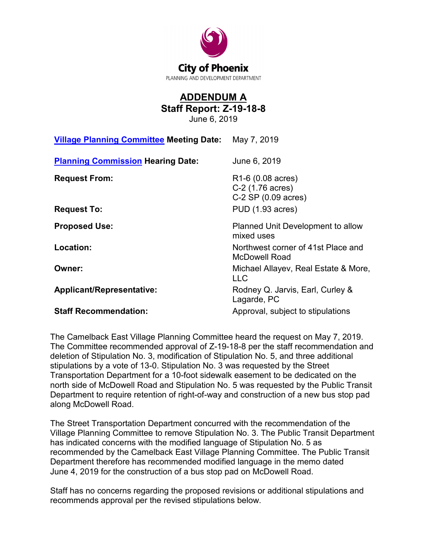

## **ADDENDUM A Staff Report: Z-19-18-8**

June 6, 2019

| <b>Village Planning Committee Meeting Date:</b> | May 7, 2019                                                                   |
|-------------------------------------------------|-------------------------------------------------------------------------------|
| <b>Planning Commission Hearing Date:</b>        | June 6, 2019                                                                  |
| <b>Request From:</b>                            | R <sub>1</sub> -6 (0.08 acres)<br>C-2 (1.76 acres)<br>$C-2$ SP $(0.09$ acres) |
| <b>Request To:</b>                              | <b>PUD (1.93 acres)</b>                                                       |
| <b>Proposed Use:</b>                            | Planned Unit Development to allow<br>mixed uses                               |
| Location:                                       | Northwest corner of 41st Place and<br>McDowell Road                           |
| Owner:                                          | Michael Allayev, Real Estate & More,<br><b>LLC</b>                            |
| <b>Applicant/Representative:</b>                | Rodney Q. Jarvis, Earl, Curley &<br>Lagarde, PC                               |
| <b>Staff Recommendation:</b>                    | Approval, subject to stipulations                                             |

The Camelback East Village Planning Committee heard the request on May 7, 2019. The Committee recommended approval of Z-19-18-8 per the staff recommendation and deletion of Stipulation No. 3, modification of Stipulation No. 5, and three additional stipulations by a vote of 13-0. Stipulation No. 3 was requested by the Street Transportation Department for a 10-foot sidewalk easement to be dedicated on the north side of McDowell Road and Stipulation No. 5 was requested by the Public Transit Department to require retention of right-of-way and construction of a new bus stop pad along McDowell Road.

The Street Transportation Department concurred with the recommendation of the Village Planning Committee to remove Stipulation No. 3. The Public Transit Department has indicated concerns with the modified language of Stipulation No. 5 as recommended by the Camelback East Village Planning Committee. The Public Transit Department therefore has recommended modified language in the memo dated June 4, 2019 for the construction of a bus stop pad on McDowell Road.

Staff has no concerns regarding the proposed revisions or additional stipulations and recommends approval per the revised stipulations below.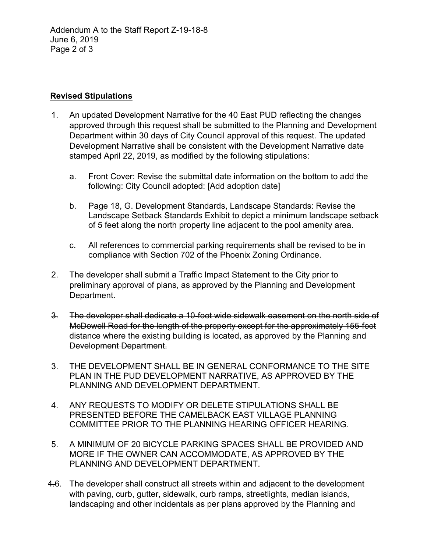Addendum A to the Staff Report Z-19-18-8 June 6, 2019 Page 2 of 3

## **Revised Stipulations**

- 1. An updated Development Narrative for the 40 East PUD reflecting the changes approved through this request shall be submitted to the Planning and Development Department within 30 days of City Council approval of this request. The updated Development Narrative shall be consistent with the Development Narrative date stamped April 22, 2019, as modified by the following stipulations:
	- a. Front Cover: Revise the submittal date information on the bottom to add the following: City Council adopted: [Add adoption date]
	- b. Page 18, G. Development Standards, Landscape Standards: Revise the Landscape Setback Standards Exhibit to depict a minimum landscape setback of 5 feet along the north property line adjacent to the pool amenity area.
	- c. All references to commercial parking requirements shall be revised to be in compliance with Section 702 of the Phoenix Zoning Ordinance.
- 2. The developer shall submit a Traffic Impact Statement to the City prior to preliminary approval of plans, as approved by the Planning and Development Department.
- 3. The developer shall dedicate a 10-foot wide sidewalk easement on the north side of McDowell Road for the length of the property except for the approximately 155-foot distance where the existing building is located, as approved by the Planning and Development Department.
- 3. THE DEVELOPMENT SHALL BE IN GENERAL CONFORMANCE TO THE SITE PLAN IN THE PUD DEVELOPMENT NARRATIVE, AS APPROVED BY THE PLANNING AND DEVELOPMENT DEPARTMENT.
- 4. ANY REQUESTS TO MODIFY OR DELETE STIPULATIONS SHALL BE PRESENTED BEFORE THE CAMELBACK EAST VILLAGE PLANNING COMMITTEE PRIOR TO THE PLANNING HEARING OFFICER HEARING.
- 5. A MINIMUM OF 20 BICYCLE PARKING SPACES SHALL BE PROVIDED AND MORE IF THE OWNER CAN ACCOMMODATE, AS APPROVED BY THE PLANNING AND DEVELOPMENT DEPARTMENT.
- 4.6. The developer shall construct all streets within and adjacent to the development with paving, curb, gutter, sidewalk, curb ramps, streetlights, median islands, landscaping and other incidentals as per plans approved by the Planning and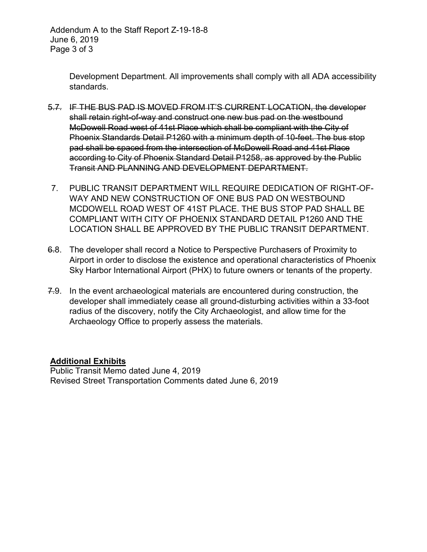Addendum A to the Staff Report Z-19-18-8 June 6, 2019 Page 3 of 3

> Development Department. All improvements shall comply with all ADA accessibility standards.

- 5.7. IF THE BUS PAD IS MOVED FROM IT'S CURRENT LOCATION, the developer shall retain right-of-way and construct one new bus pad on the westbound McDowell Road west of 41st Place which shall be compliant with the City of Phoenix Standards Detail P1260 with a minimum depth of 10-feet. The bus stop pad shall be spaced from the intersection of McDowell Road and 41st Place according to City of Phoenix Standard Detail P1258, as approved by the Public Transit AND PLANNING AND DEVELOPMENT DEPARTMENT.
- 7. PUBLIC TRANSIT DEPARTMENT WILL REQUIRE DEDICATION OF RIGHT-OF-WAY AND NEW CONSTRUCTION OF ONE BUS PAD ON WESTBOUND MCDOWELL ROAD WEST OF 41ST PLACE. THE BUS STOP PAD SHALL BE COMPLIANT WITH CITY OF PHOENIX STANDARD DETAIL P1260 AND THE LOCATION SHALL BE APPROVED BY THE PUBLIC TRANSIT DEPARTMENT.
- 6.8. The developer shall record a Notice to Perspective Purchasers of Proximity to Airport in order to disclose the existence and operational characteristics of Phoenix Sky Harbor International Airport (PHX) to future owners or tenants of the property.
- 7.9. In the event archaeological materials are encountered during construction, the developer shall immediately cease all ground-disturbing activities within a 33-foot radius of the discovery, notify the City Archaeologist, and allow time for the Archaeology Office to properly assess the materials.

## **Additional Exhibits**

Public Transit Memo dated June 4, 2019 Revised Street Transportation Comments dated June 6, 2019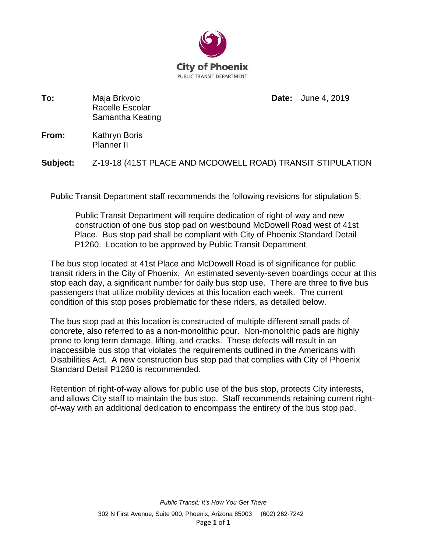

**To:** Maja Brkvoic Racelle Escolar Samantha Keating **Date:** June 4, 2019

**From:** Kathryn Boris Planner II

**Subject:** Z-19-18 (41ST PLACE AND MCDOWELL ROAD) TRANSIT STIPULATION

Public Transit Department staff recommends the following revisions for stipulation 5:

Public Transit Department will require dedication of right-of-way and new construction of one bus stop pad on westbound McDowell Road west of 41st Place. Bus stop pad shall be compliant with City of Phoenix Standard Detail P1260. Location to be approved by Public Transit Department.

The bus stop located at 41st Place and McDowell Road is of significance for public transit riders in the City of Phoenix. An estimated seventy-seven boardings occur at this stop each day, a significant number for daily bus stop use. There are three to five bus passengers that utilize mobility devices at this location each week. The current condition of this stop poses problematic for these riders, as detailed below.

The bus stop pad at this location is constructed of multiple different small pads of concrete, also referred to as a non-monolithic pour. Non-monolithic pads are highly prone to long term damage, lifting, and cracks. These defects will result in an inaccessible bus stop that violates the requirements outlined in the Americans with Disabilities Act. A new construction bus stop pad that complies with City of Phoenix Standard Detail P1260 is recommended.

Retention of right-of-way allows for public use of the bus stop, protects City interests, and allows City staff to maintain the bus stop. Staff recommends retaining current rightof-way with an additional dedication to encompass the entirety of the bus stop pad.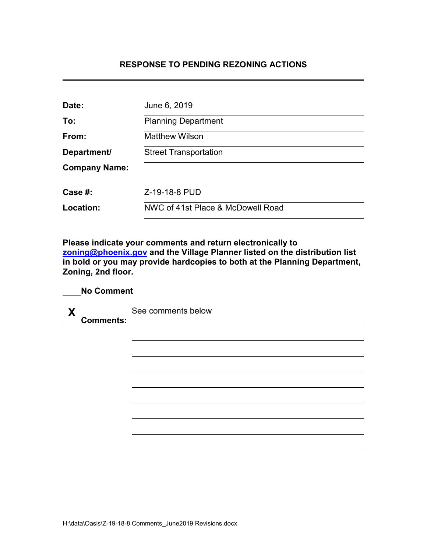## **RESPONSE TO PENDING REZONING ACTIONS**

| Date:                | June 6, 2019                      |
|----------------------|-----------------------------------|
| To:                  | <b>Planning Department</b>        |
| From:                | <b>Matthew Wilson</b>             |
| Department/          | <b>Street Transportation</b>      |
| <b>Company Name:</b> |                                   |
| Case #:              | Z-19-18-8 PUD                     |
| Location:            | NWC of 41st Place & McDowell Road |

**Please indicate your comments and return electronically to [zoning@phoenix.gov](mailto:zoning@phoenix.gov) and the Village Planner listed on the distribution list in bold or you may provide hardcopies to both at the Planning Department, Zoning, 2nd floor.**

| $\boldsymbol{X}$ | <b>Comments:</b> | See comments below |
|------------------|------------------|--------------------|
|                  |                  |                    |
|                  |                  |                    |
|                  |                  |                    |
|                  |                  |                    |
|                  |                  |                    |
|                  |                  |                    |
|                  |                  |                    |

**No Comment**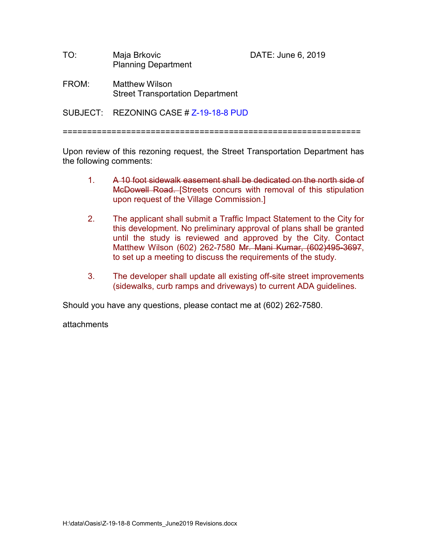| TO: | Maja Brkovic               |
|-----|----------------------------|
|     | <b>Planning Department</b> |

DATE: June 6, 2019

FROM: Matthew Wilson Street Transportation Department

 $SUBJECT:$  REZONING CASE # 7-19-18-8 PUD

=============================================================

Upon review of this rezoning request, the Street Transportation Department has the following comments:

- 1. A 10 foot sidewalk easement shall be dedicated on the north side of McDowell Road. [Streets concurs with removal of this stipulation upon request of the Village Commission.]
- 2. The applicant shall submit a Traffic Impact Statement to the City for this development. No preliminary approval of plans shall be granted until the study is reviewed and approved by the City. Contact Matthew Wilson (602) 262-7580 Mr. Mani Kumar, (602)495-3697, to set up a meeting to discuss the requirements of the study.
- 3. The developer shall update all existing off-site street improvements (sidewalks, curb ramps and driveways) to current ADA guidelines.

Should you have any questions, please contact me at (602) 262-7580.

attachments